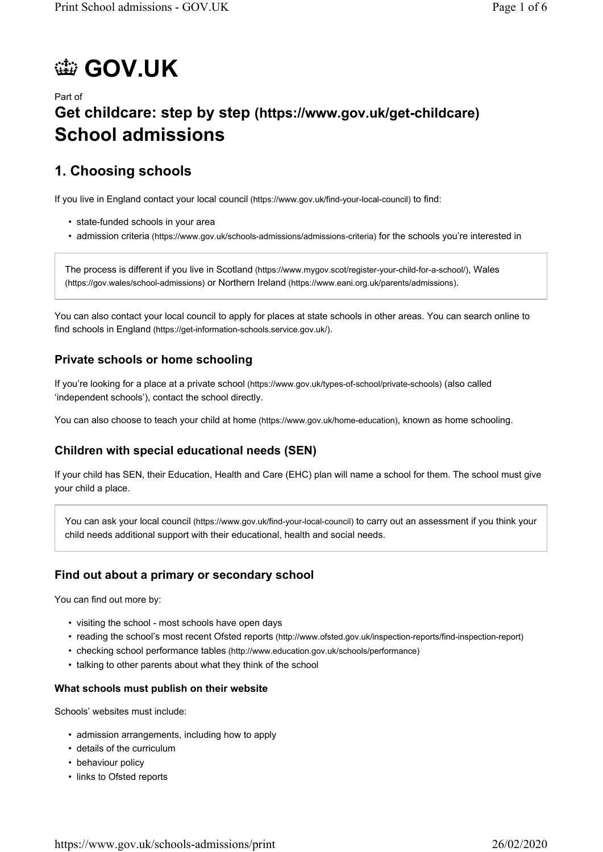# **@ GOV.UK**

# Part of **Get childcare: step by step (https://www.gov.uk/get-childcare) School admissions**

## **1. Choosing schools**

If you live in England contact your local council (https://www.gov.uk/find-your-local-council) to find:

- state-funded schools in your area
- admission criteria (https://www.gov.uk/schools-admissions/admissions-criteria) for the schools you're interested in

The process is different if you live in Scotland (https://www.mygov.scot/register-your-child-for-a-school/), Wales (https://gov.wales/school-admissions) or Northern Ireland (https://www.eani.org.uk/parents/admissions).

You can also contact your local council to apply for places at state schools in other areas. You can search online to find schools in England (https://get-information-schools.service.gov.uk/).

#### **Private schools or home schooling**

If you're looking for a place at a private school (https://www.gov.uk/types-of-school/private-schools) (also called 'independent schools'), contact the school directly.

You can also choose to teach your child at home (https://www.gov.uk/home-education), known as home schooling.

### **Children with special educational needs (SEN)**

If your child has SEN, their Education, Health and Care (EHC) plan will name a school for them. The school must give your child a place.

You can ask your local council (https://www.gov.uk/find-your-local-council) to carry out an assessment if you think your child needs additional support with their educational, health and social needs.

#### **Find out about a primary or secondary school**

You can find out more by:

- visiting the school most schools have open days
- reading the school's most recent Ofsted reports (http://www.ofsted.gov.uk/inspection-reports/find-inspection-report)
- checking school performance tables (http://www.education.gov.uk/schools/performance)
- talking to other parents about what they think of the school

#### **What schools must publish on their website**

Schools' websites must include:

- admission arrangements, including how to apply
- details of the curriculum
- behaviour policy
- links to Ofsted reports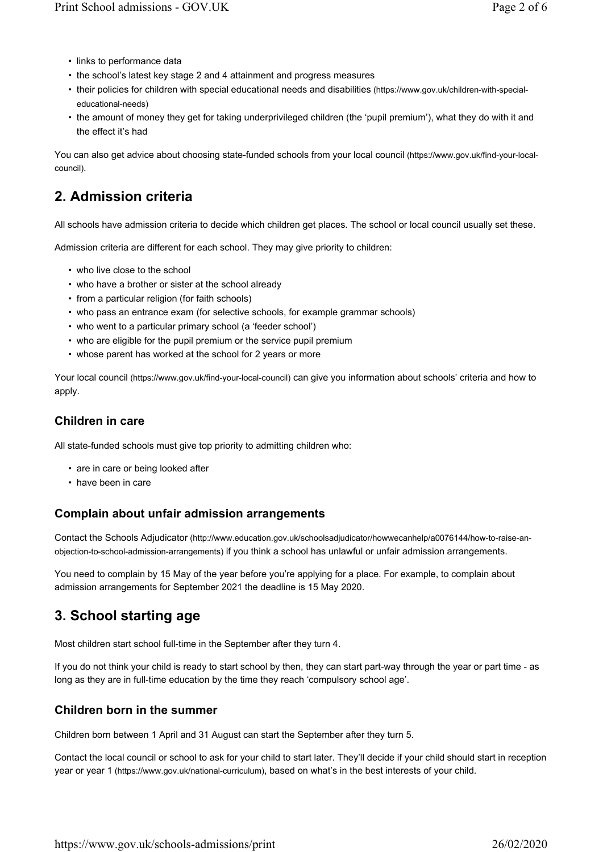- links to performance data
- the school's latest key stage 2 and 4 attainment and progress measures
- their policies for children with special educational needs and disabilities (https://www.gov.uk/children-with-specialeducational-needs)
- the amount of money they get for taking underprivileged children (the 'pupil premium'), what they do with it and the effect it's had

You can also get advice about choosing state-funded schools from your local council (https://www.gov.uk/find-your-localcouncil).

# **2. Admission criteria**

All schools have admission criteria to decide which children get places. The school or local council usually set these.

Admission criteria are different for each school. They may give priority to children:

- who live close to the school
- who have a brother or sister at the school already
- from a particular religion (for faith schools)
- who pass an entrance exam (for selective schools, for example grammar schools)
- who went to a particular primary school (a 'feeder school')
- who are eligible for the pupil premium or the service pupil premium
- whose parent has worked at the school for 2 years or more

Your local council (https://www.gov.uk/find-your-local-council) can give you information about schools' criteria and how to apply.

#### **Children in care**

All state-funded schools must give top priority to admitting children who:

- are in care or being looked after
- have been in care

#### **Complain about unfair admission arrangements**

Contact the Schools Adjudicator (http://www.education.gov.uk/schoolsadjudicator/howwecanhelp/a0076144/how-to-raise-anobjection-to-school-admission-arrangements) if you think a school has unlawful or unfair admission arrangements.

You need to complain by 15 May of the year before you're applying for a place. For example, to complain about admission arrangements for September 2021 the deadline is 15 May 2020.

## **3. School starting age**

Most children start school full-time in the September after they turn 4.

If you do not think your child is ready to start school by then, they can start part-way through the year or part time - as long as they are in full-time education by the time they reach 'compulsory school age'.

#### **Children born in the summer**

Children born between 1 April and 31 August can start the September after they turn 5.

Contact the local council or school to ask for your child to start later. They'll decide if your child should start in reception year or year 1 (https://www.gov.uk/national-curriculum), based on what's in the best interests of your child.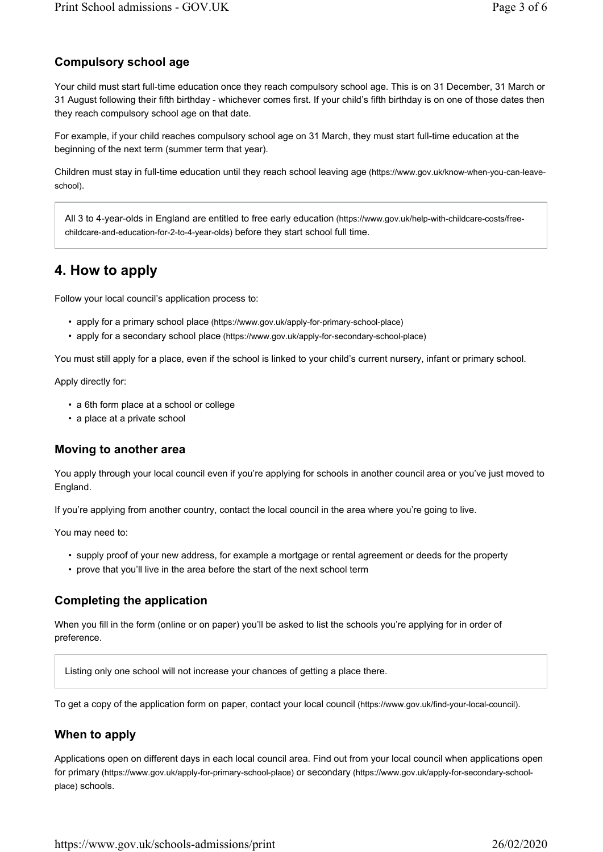## **Compulsory school age**

Your child must start full-time education once they reach compulsory school age. This is on 31 December, 31 March or 31 August following their fifth birthday - whichever comes first. If your child's fifth birthday is on one of those dates then they reach compulsory school age on that date.

For example, if your child reaches compulsory school age on 31 March, they must start full-time education at the beginning of the next term (summer term that year).

Children must stay in full-time education until they reach school leaving age (https://www.gov.uk/know-when-you-can-leaveschool).

All 3 to 4-year-olds in England are entitled to free early education (https://www.gov.uk/help-with-childcare-costs/freechildcare-and-education-for-2-to-4-year-olds) before they start school full time.

# **4. How to apply**

Follow your local council's application process to:

- apply for a primary school place (https://www.gov.uk/apply-for-primary-school-place)
- apply for a secondary school place (https://www.gov.uk/apply-for-secondary-school-place)

You must still apply for a place, even if the school is linked to your child's current nursery, infant or primary school.

Apply directly for:

- a 6th form place at a school or college
- a place at a private school

### **Moving to another area**

You apply through your local council even if you're applying for schools in another council area or you've just moved to England.

If you're applying from another country, contact the local council in the area where you're going to live.

You may need to:

- supply proof of your new address, for example a mortgage or rental agreement or deeds for the property
- prove that you'll live in the area before the start of the next school term

## **Completing the application**

When you fill in the form (online or on paper) you'll be asked to list the schools you're applying for in order of preference.

Listing only one school will not increase your chances of getting a place there.

To get a copy of the application form on paper, contact your local council (https://www.gov.uk/find-your-local-council).

### **When to apply**

Applications open on different days in each local council area. Find out from your local council when applications open for primary (https://www.gov.uk/apply-for-primary-school-place) or secondary (https://www.gov.uk/apply-for-secondary-schoolplace) schools.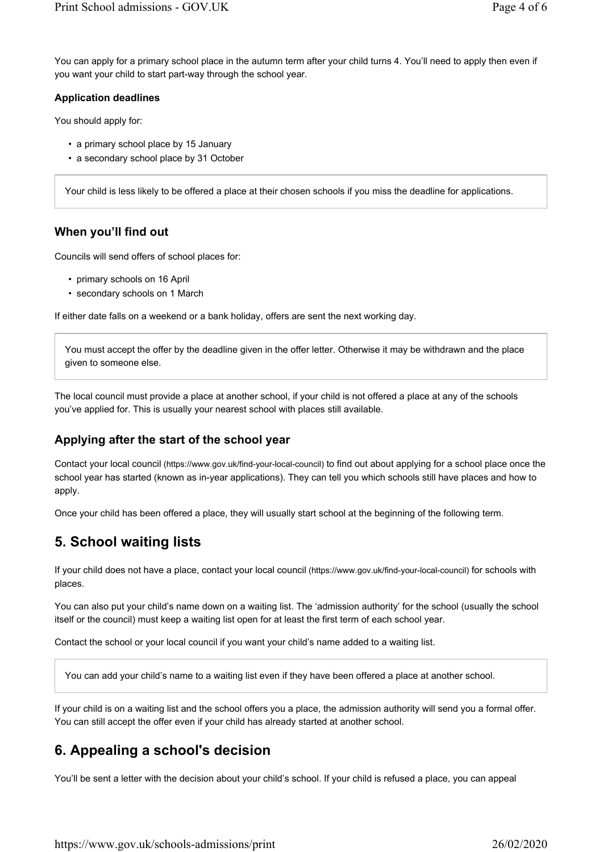### **Application deadlines**

You should apply for:

- a primary school place by 15 January
- a secondary school place by 31 October

Your child is less likely to be offered a place at their chosen schools if you miss the deadline for applications.

## **When you'll find out**

Councils will send offers of school places for:

- primary schools on 16 April
- secondary schools on 1 March

If either date falls on a weekend or a bank holiday, offers are sent the next working day.

You must accept the offer by the deadline given in the offer letter. Otherwise it may be withdrawn and the place given to someone else.

The local council must provide a place at another school, if your child is not offered a place at any of the schools you've applied for. This is usually your nearest school with places still available.

## **Applying after the start of the school year**

Contact your local council (https://www.gov.uk/find-your-local-council) to find out about applying for a school place once the school year has started (known as in-year applications). They can tell you which schools still have places and how to apply.

Once your child has been offered a place, they will usually start school at the beginning of the following term.

# **5. School waiting lists**

If your child does not have a place, contact your local council (https://www.gov.uk/find-your-local-council) for schools with places.

You can also put your child's name down on a waiting list. The 'admission authority' for the school (usually the school itself or the council) must keep a waiting list open for at least the first term of each school year.

Contact the school or your local council if you want your child's name added to a waiting list.

You can add your child's name to a waiting list even if they have been offered a place at another school.

If your child is on a waiting list and the school offers you a place, the admission authority will send you a formal offer. You can still accept the offer even if your child has already started at another school.

# **6. Appealing a school's decision**

You'll be sent a letter with the decision about your child's school. If your child is refused a place, you can appeal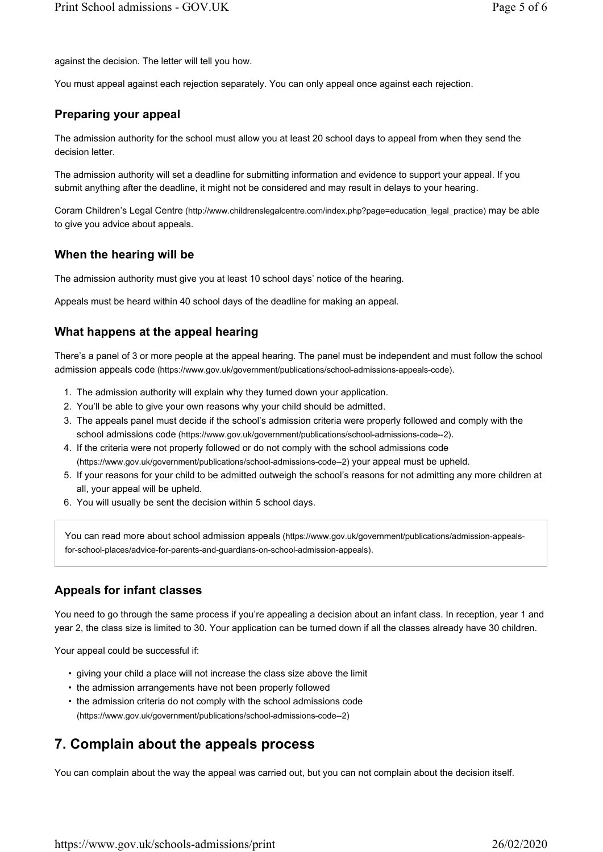against the decision. The letter will tell you how.

You must appeal against each rejection separately. You can only appeal once against each rejection.

#### **Preparing your appeal**

The admission authority for the school must allow you at least 20 school days to appeal from when they send the decision letter.

The admission authority will set a deadline for submitting information and evidence to support your appeal. If you submit anything after the deadline, it might not be considered and may result in delays to your hearing.

Coram Children's Legal Centre (http://www.childrenslegalcentre.com/index.php?page=education\_legal\_practice) may be able to give you advice about appeals.

#### **When the hearing will be**

The admission authority must give you at least 10 school days' notice of the hearing.

Appeals must be heard within 40 school days of the deadline for making an appeal.

#### **What happens at the appeal hearing**

There's a panel of 3 or more people at the appeal hearing. The panel must be independent and must follow the school admission appeals code (https://www.gov.uk/government/publications/school-admissions-appeals-code).

- 1. The admission authority will explain why they turned down your application.
- 2. You'll be able to give your own reasons why your child should be admitted.
- 3. The appeals panel must decide if the school's admission criteria were properly followed and comply with the school admissions code (https://www.gov.uk/government/publications/school-admissions-code--2).
- 4. If the criteria were not properly followed or do not comply with the school admissions code (https://www.gov.uk/government/publications/school-admissions-code--2) your appeal must be upheld.
- 5. If your reasons for your child to be admitted outweigh the school's reasons for not admitting any more children at all, your appeal will be upheld.
- 6. You will usually be sent the decision within 5 school days.

You can read more about school admission appeals (https://www.gov.uk/government/publications/admission-appealsfor-school-places/advice-for-parents-and-guardians-on-school-admission-appeals).

#### **Appeals for infant classes**

You need to go through the same process if you're appealing a decision about an infant class. In reception, year 1 and year 2, the class size is limited to 30. Your application can be turned down if all the classes already have 30 children.

Your appeal could be successful if:

- giving your child a place will not increase the class size above the limit
- the admission arrangements have not been properly followed
- the admission criteria do not comply with the school admissions code (https://www.gov.uk/government/publications/school-admissions-code--2)

## **7. Complain about the appeals process**

You can complain about the way the appeal was carried out, but you can not complain about the decision itself.